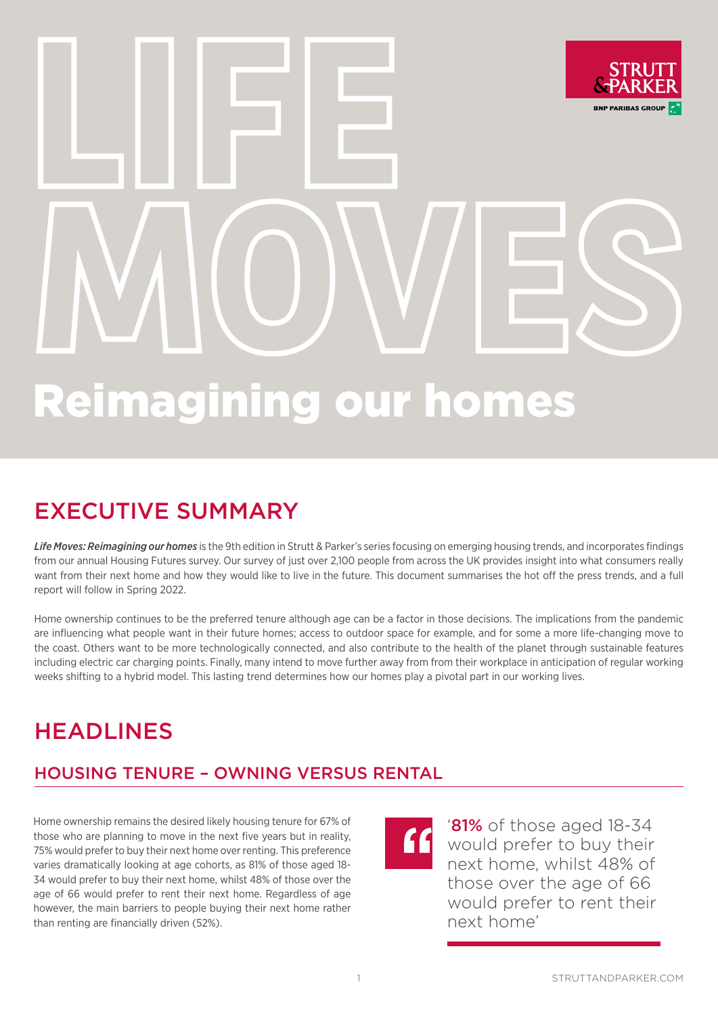# **LIFE BNP PARIBAS GROU MOVES**

# Reimagining our homes

## EXECUTIVE SUMMARY

*Life Moves: Reimagining our homes* is the 9th edition in Strutt & Parker's series focusing on emerging housing trends, and incorporates findings from our annual Housing Futures survey. Our survey of just over 2,100 people from across the UK provides insight into what consumers really want from their next home and how they would like to live in the future. This document summarises the hot off the press trends, and a full report will follow in Spring 2022.

Home ownership continues to be the preferred tenure although age can be a factor in those decisions. The implications from the pandemic are influencing what people want in their future homes; access to outdoor space for example, and for some a more life-changing move to the coast. Others want to be more technologically connected, and also contribute to the health of the planet through sustainable features including electric car charging points. Finally, many intend to move further away from from their workplace in anticipation of regular working weeks shifting to a hybrid model. This lasting trend determines how our homes play a pivotal part in our working lives.

## HEADLINES

#### HOUSING TENURE – OWNING VERSUS RENTAL

Home ownership remains the desired likely housing tenure for 67% of those who are planning to move in the next five years but in reality, 75% would prefer to buy their next home over renting. This preference varies dramatically looking at age cohorts, as 81% of those aged 18- 34 would prefer to buy their next home, whilst 48% of those over the age of 66 would prefer to rent their next home. Regardless of age however, the main barriers to people buying their next home rather than renting are financially driven (52%).



'81% of those aged 18-34 would prefer to buy their next home, whilst 48% of those over the age of 66 would prefer to rent their next home'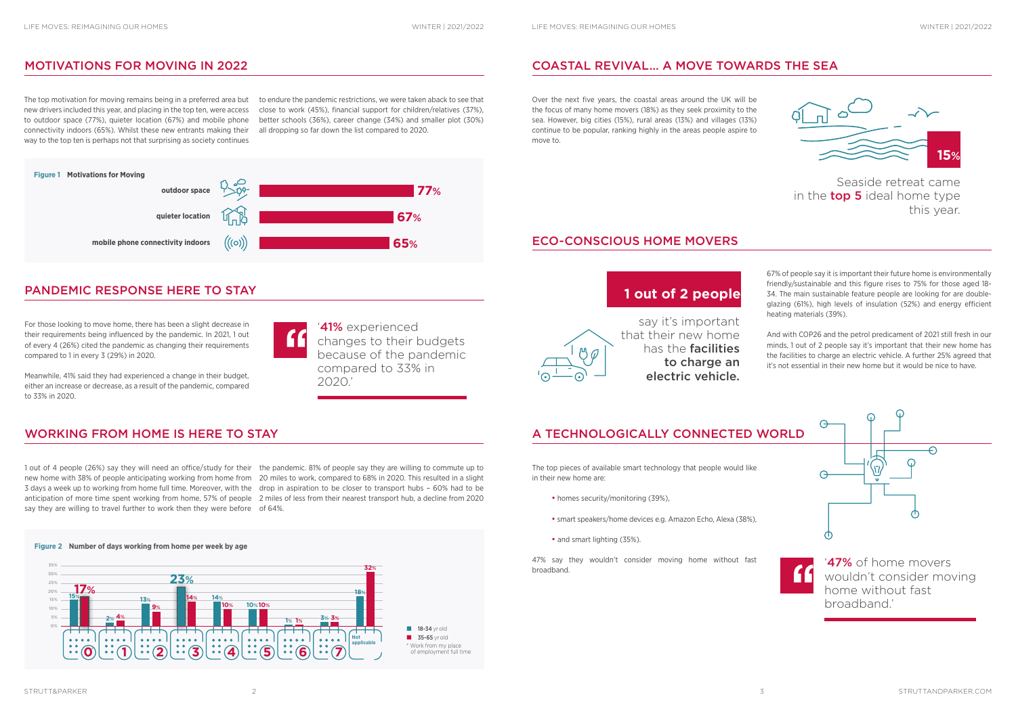The top motivation for moving remains being in a preferred area but new drivers included this year, and placing in the top ten, were access to outdoor space (77%), quieter location (67%) and mobile phone connectivity indoors (65%). Whilst these new entrants making their way to the top ten is perhaps not that surprising as society continues

to endure the pandemic restrictions, we were taken aback to see that close to work (45%), financial support for children/relatives (37%), better schools (36%), career change (34%) and smaller plot (30%) all dropping so far down the list compared to 2020.

#### MOTIVATIONS FOR MOVING IN 2022 COASTAL REVIVAL… A MOVE TOWARDS THE SEA



Over the next five years, the coastal areas around the UK will be the focus of many home movers (18%) as they seek proximity to the sea. However, big cities (15%), rural areas (13%) and villages (13%) continue to be popular, ranking highly in the areas people aspire to move to.

> 67% of people say it is important their future home is environmentally friendly/sustainable and this figure rises to 75% for those aged 18- 34. The main sustainable feature people are looking for are doubleglazing (61%), high levels of insulation (52%) and energy efficient heating materials (39%).

> And with COP26 and the petrol predicament of 2021 still fresh in our minds, 1 out of 2 people say it's important that their new home has the facilities to charge an electric vehicle. A further 25% agreed that it's not essential in their new home but it would be nice to have.

- homes security/monitoring (39%),
- smart speakers/home devices e.g. Amazon Echo, Alexa (38%),
- and smart lighting (35%).

47% say they wouldn't consider moving home without fast **47%** of home movers broadband.

For those looking to move home, there has been a slight decrease in their requirements being influenced by the pandemic. In 2021, 1 out of every 4 (26%) cited the pandemic as changing their requirements compared to 1 in every 3 (29%) in 2020.

Meanwhile, 41% said they had experienced a change in their budget, either an increase or decrease, as a result of the pandemic, compared to 33% in 2020.

1 out of 4 people (26%) say they will need an office/study for their the pandemic. 81% of people say they are willing to commute up to new home with 38% of people anticipating working from home from 20 miles to work, compared to 68% in 2020. This resulted in a slight 3 days a week up to working from home full time. Moreover, with the drop in aspiration to be closer to transport hubs - 60% had to be anticipation of more time spent working from home, 57% of people 2 miles of less from their nearest transport hub, a decline from 2020 say they are willing to travel further to work then they were before of 64%.

'41% experienced  $\mathbf{f}$ changes to their budgets because of the pandemic compared to 33% in 2020.'

**Figure 2 Number of days working from home per week by age**

#### PANDEMIC RESPONSE HERE TO STAY

The top pieces of available smart technology that people would like in their new home are:







Seaside retreat came in the **top 5** ideal home type this year.



say it's important that their new home has the facilities to charge an electric vehicle.

#### WORKING FROM HOME IS HERE TO STAY A TECHNOLOGICALLY CONNECTED WORLD

#### **1 out of 2 people**